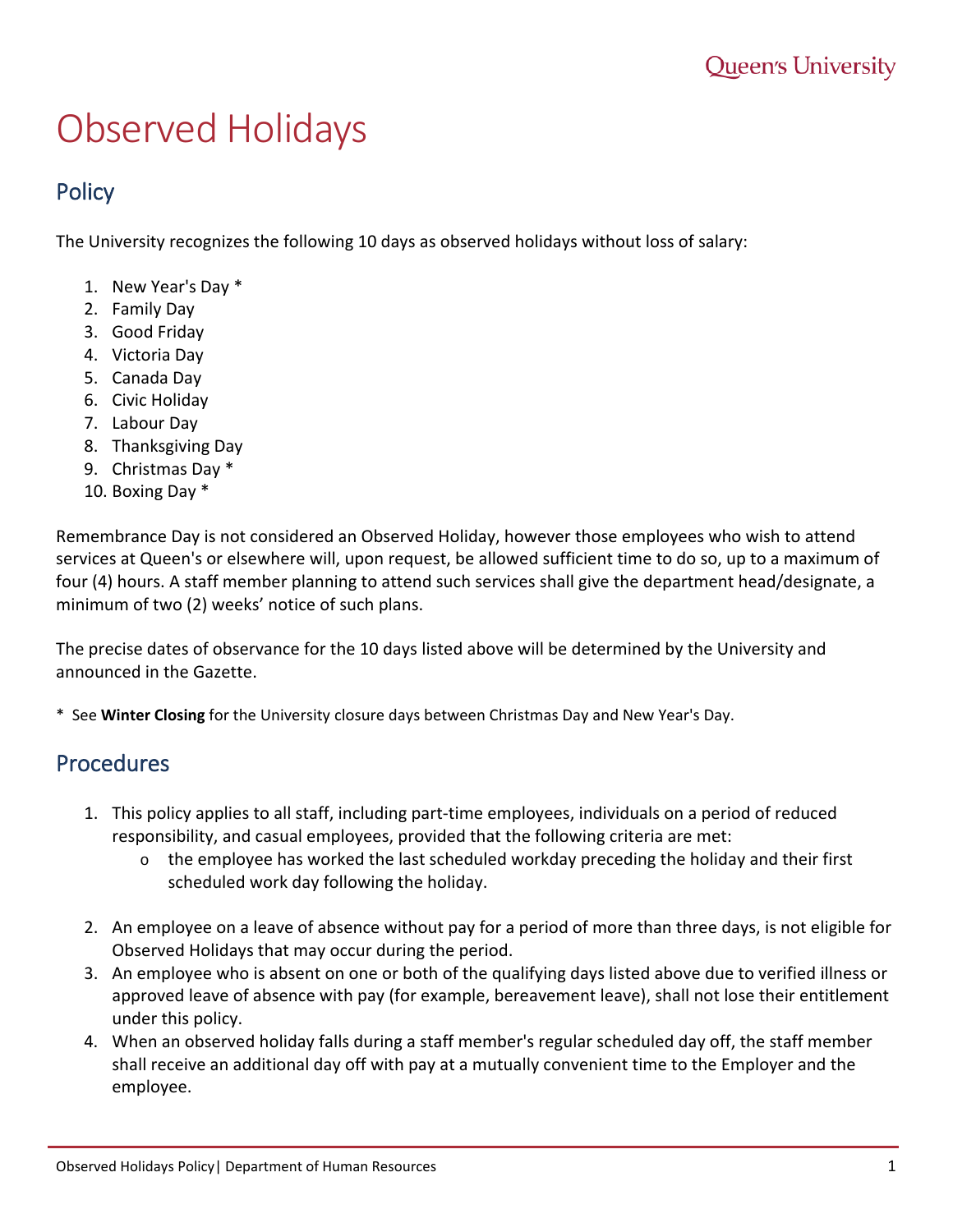## Observed Holidays

## **Policy**

The University recognizes the following 10 days as observed holidays without loss of salary:

- 1. New Year's Day \*
- 2. Family Day
- 3. Good Friday
- 4. Victoria Day
- 5. Canada Day
- 6. Civic Holiday
- 7. Labour Day
- 8. Thanksgiving Day
- 9. Christmas Day \*
- 10. Boxing Day \*

Remembrance Day is not considered an Observed Holiday, however those employees who wish to attend services at Queen's or elsewhere will, upon request, be allowed sufficient time to do so, up to a maximum of four (4) hours. A staff member planning to attend such services shall give the department head/designate, a minimum of two (2) weeks' notice of such plans.

The precise dates of observance for the 10 days listed above will be determined by the University and announced in the Gazette.

\* See **Winter Closing** for the University closure days between Christmas Day and New Year's Day.

## Procedures

- 1. This policy applies to all staff, including part-time employees, individuals on a period of reduced responsibility, and casual employees, provided that the following criteria are met:
	- $\circ$  the employee has worked the last scheduled workday preceding the holiday and their first scheduled work day following the holiday.
- 2. An employee on a leave of absence without pay for a period of more than three days, is not eligible for Observed Holidays that may occur during the period.
- 3. An employee who is absent on one or both of the qualifying days listed above due to verified illness or approved leave of absence with pay (for example, bereavement leave), shall not lose their entitlement under this policy.
- 4. When an observed holiday falls during a staff member's regular scheduled day off, the staff member shall receive an additional day off with pay at a mutually convenient time to the Employer and the employee.